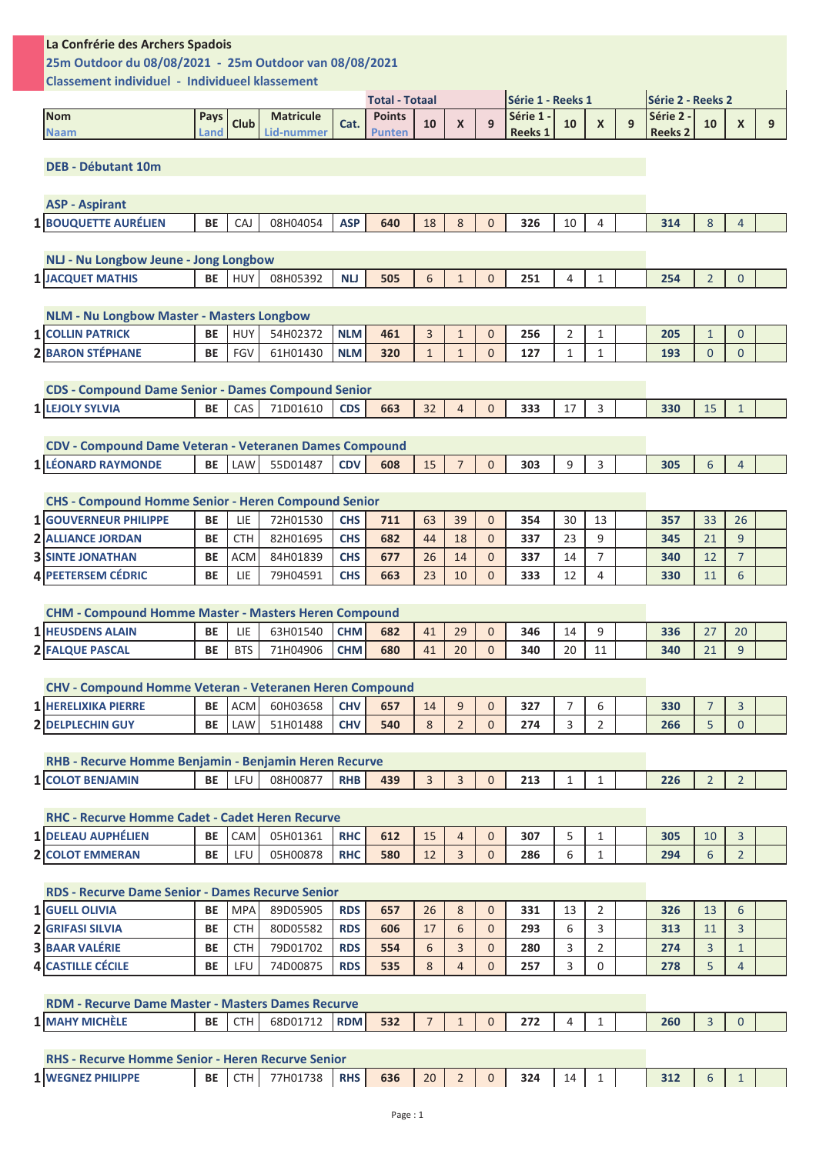| La Confrérie des Archers Spadois                           |              |             |                                |            |                                |              |                  |              |                             |                |                           |   |                           |                |                |   |
|------------------------------------------------------------|--------------|-------------|--------------------------------|------------|--------------------------------|--------------|------------------|--------------|-----------------------------|----------------|---------------------------|---|---------------------------|----------------|----------------|---|
| 25m Outdoor du 08/08/2021 - 25m Outdoor van 08/08/2021     |              |             |                                |            |                                |              |                  |              |                             |                |                           |   |                           |                |                |   |
| Classement individuel - Individueel klassement             |              |             |                                |            |                                |              |                  |              |                             |                |                           |   |                           |                |                |   |
|                                                            |              |             |                                |            | <b>Total - Totaal</b>          |              |                  |              | Série 1 - Reeks 1           |                |                           |   | Série 2 - Reeks 2         |                |                |   |
| <b>Nom</b><br><b>Naam</b>                                  | Pays<br>Land | <b>Club</b> | <b>Matricule</b><br>Lid-nummer | Cat.       | <b>Points</b><br><b>Punten</b> | 10           | $\boldsymbol{X}$ | 9            | Série 1 -<br><b>Reeks 1</b> | 10             | $\boldsymbol{\mathsf{x}}$ | 9 | Série 2<br><b>Reeks 2</b> | 10             | $\mathsf{x}$   | 9 |
|                                                            |              |             |                                |            |                                |              |                  |              |                             |                |                           |   |                           |                |                |   |
| <b>DEB - Débutant 10m</b>                                  |              |             |                                |            |                                |              |                  |              |                             |                |                           |   |                           |                |                |   |
|                                                            |              |             |                                |            |                                |              |                  |              |                             |                |                           |   |                           |                |                |   |
| <b>ASP - Aspirant</b>                                      |              |             |                                |            |                                |              |                  |              |                             |                |                           |   |                           |                |                |   |
| 1 BOUQUETTE AURÉLIEN                                       | <b>BE</b>    | CAJ         | 08H04054                       | <b>ASP</b> | 640                            | 18           | 8                | $\Omega$     | 326                         | 10             | 4                         |   | 314                       | 8              | 4              |   |
|                                                            |              |             |                                |            |                                |              |                  |              |                             |                |                           |   |                           |                |                |   |
| NLJ - Nu Longbow Jeune - Jong Longbow                      |              |             |                                |            |                                |              |                  |              |                             |                |                           |   |                           |                |                |   |
| 1 JACQUET MATHIS                                           | <b>BE</b>    | <b>HUY</b>  | 08H05392                       | <b>NU</b>  | 505                            | 6            | $\mathbf{1}$     | $\mathbf{0}$ | 251                         | 4              | 1                         |   | 254                       | $\overline{2}$ | $\mathbf{0}$   |   |
|                                                            |              |             |                                |            |                                |              |                  |              |                             |                |                           |   |                           |                |                |   |
| <b>NLM - Nu Longbow Master - Masters Longbow</b>           |              |             |                                |            |                                |              |                  |              |                             |                |                           |   |                           |                |                |   |
| <b>1 COLLIN PATRICK</b>                                    | <b>BE</b>    | HUY         | 54H02372                       | <b>NLM</b> | 461                            | 3            | $\mathbf{1}$     | $\mathbf{0}$ | 256                         | $\overline{2}$ | 1                         |   | 205                       | $\mathbf{1}$   | $\mathbf{0}$   |   |
| 2 BARON STÉPHANE                                           | <b>BE</b>    | <b>FGV</b>  | 61H01430                       | <b>NLM</b> | 320                            | $\mathbf{1}$ | $\mathbf{1}$     | $\Omega$     | 127                         | 1              | 1                         |   | 193                       | $\mathbf{0}$   | $\mathbf{0}$   |   |
|                                                            |              |             |                                |            |                                |              |                  |              |                             |                |                           |   |                           |                |                |   |
| <b>CDS - Compound Dame Senior - Dames Compound Senior</b>  |              |             |                                |            |                                |              |                  |              |                             |                |                           |   |                           |                |                |   |
| 1 LEJOLY SYLVIA                                            | <b>BE</b>    | CAS         | 71D01610                       | <b>CDS</b> | 663                            | 32           | $\overline{4}$   | $\Omega$     | 333                         | 17             | 3                         |   | 330                       | 15             | $\mathbf{1}$   |   |
|                                                            |              |             |                                |            |                                |              |                  |              |                             |                |                           |   |                           |                |                |   |
| CDV - Compound Dame Veteran - Veteranen Dames Compound     |              |             |                                |            |                                |              |                  |              |                             |                |                           |   |                           |                |                |   |
| 1 LÉONARD RAYMONDE                                         | <b>BE</b>    | LAW         | 55D01487                       | <b>CDV</b> | 608                            | 15           |                  | $\Omega$     | 303                         | 9              | 3                         |   | 305                       | 6              | $\overline{4}$ |   |
|                                                            |              |             |                                |            |                                |              |                  |              |                             |                |                           |   |                           |                |                |   |
| <b>CHS - Compound Homme Senior - Heren Compound Senior</b> |              |             |                                |            |                                |              |                  |              |                             |                |                           |   |                           |                |                |   |
|                                                            |              |             |                                |            |                                |              |                  |              |                             |                |                           |   |                           |                |                |   |

| <b>1 IGOUVERNEUR PHILIPPE</b> | <b>BE</b> | LIE        | 72H01530 | <b>CHS</b> | 711 | 63 | 39 | 354 | 30  | 13 | 357 | ၁၁      | 26 |  |
|-------------------------------|-----------|------------|----------|------------|-----|----|----|-----|-----|----|-----|---------|----|--|
| <b>2 ALLIANCE JORDAN</b>      | <b>BE</b> | <b>CTH</b> | 82H01695 | <b>CHS</b> | 682 | 44 | 18 | 337 | 23  |    | 345 | 21      |    |  |
| <b>3 SINTE JONATHAN</b>       | <b>BE</b> | <b>ACM</b> | 84H01839 | <b>CHS</b> | 677 | 26 |    | 337 | 14  |    | 340 | 12<br>ᅩ |    |  |
| <b>4 IPEETERSEM CÉDRIC</b>    | <b>BE</b> | LIE        | 79H04591 | <b>CHS</b> | 663 | 23 | 10 | 333 | 1 ว |    | 330 | 11      |    |  |

| <b>CHM - Compound Homme Master - Masters Heren Compound</b> |           |            |          |            |     |    |    |     |    |  |     |        |    |  |
|-------------------------------------------------------------|-----------|------------|----------|------------|-----|----|----|-----|----|--|-----|--------|----|--|
| <b>1 HEUSDENS ALAIN</b>                                     | <b>BE</b> | LIE        | 63H01540 | CHM.       | 682 | 41 | 29 | 346 |    |  | 336 | $\sim$ | 20 |  |
| <b>2 FALQUE PASCAL</b>                                      | <b>BE</b> | <b>BTS</b> | 71H04906 | <b>CHM</b> | 680 | 41 | 20 | 340 | 20 |  | 340 |        |    |  |

| <b>CHV - Compound Homme Veteran - Veteranen Heren Compound</b> |           |         |          |            |     |    |  |     |  |     |  |  |
|----------------------------------------------------------------|-----------|---------|----------|------------|-----|----|--|-----|--|-----|--|--|
| <b>1 HERELIXIKA PIERRE</b>                                     | <b>BE</b> | l ACM l | 60H03658 | <b>CHV</b> | 657 | 14 |  |     |  | 330 |  |  |
| <b>2 DELPLECHIN GUY</b>                                        | BE        | ∟AW L   | 51H01488 | <b>CHV</b> | 540 |    |  | 274 |  | 266 |  |  |

| <b>RHB - Recurve Homme Beniamin - Beniamin Heren Recurve</b> |    |                |            |     |  |     |  |     |  |  |
|--------------------------------------------------------------|----|----------------|------------|-----|--|-----|--|-----|--|--|
| <b>RENIAMIN</b>                                              | BE | <b>08H0087</b> | <b>DUD</b> | 439 |  | 213 |  | 226 |  |  |

| <b>RHC - Recurve Homme Cadet - Cadet Heren Recurve</b> |           |            |          |            |     |    |  |     |  |     |  |  |
|--------------------------------------------------------|-----------|------------|----------|------------|-----|----|--|-----|--|-----|--|--|
| 1 DELEAU AUPHÉLIEN                                     | <b>BE</b> | <b>CAM</b> | 05H01361 | <b>RHC</b> | 612 | 15 |  | 307 |  | 305 |  |  |
| <b>2 COLOT EMMERAN</b>                                 | BE        |            | 05H00878 | <b>RHC</b> | 580 |    |  | 286 |  | 294 |  |  |
|                                                        |           |            |          |            |     |    |  |     |  |     |  |  |

| <b>RDS - Recurve Dame Senior - Dames Recurve Senior</b> |           |            |          |            |     |              |   |     |    |            |     |    |   |  |
|---------------------------------------------------------|-----------|------------|----------|------------|-----|--------------|---|-----|----|------------|-----|----|---|--|
| <b>1 GUELL OLIVIA</b>                                   | <b>BE</b> | MPA        | 89D05905 | <b>RDS</b> | 657 | 26           | 8 | 331 | 13 |            | 326 | 13 | 6 |  |
| <b>2 GRIFASI SILVIA</b>                                 | <b>BE</b> | <b>CTH</b> | 80D05582 | <b>RDS</b> | 606 |              |   | 293 |    |            | 313 |    |   |  |
| <b>3 BAAR VALÉRIE</b>                                   | <b>BE</b> | <b>CTH</b> | 79D01702 | <b>RDS</b> | 554 |              |   | 280 |    |            | 274 |    |   |  |
| <b>4 CASTILLE CÉCILE</b>                                | <b>BE</b> | LFU        | 74D00875 | <b>RDS</b> | 535 | $\mathbf{Q}$ |   | 257 |    | $\sqrt{2}$ | 278 |    |   |  |

| <b>RDM - Recurve Dame Master - Masters Dames Recurve</b> |          |          |            |     |  |     |  |     |  |  |
|----------------------------------------------------------|----------|----------|------------|-----|--|-----|--|-----|--|--|
| <b>1 MAHY MICHELE</b>                                    | BE I CTH | 68D01712 | <b>RDM</b> | 532 |  | 272 |  | 260 |  |  |
|                                                          |          |          |            |     |  |     |  |     |  |  |
| <b>RHS - Recurve Homme Senior - Heren Recurve Senior</b> |          |          |            |     |  |     |  |     |  |  |

| <u> RAS - Recurve Homme Senior - Heren Recurve Senior</u> |    |          |            |     |             |  |     |    |  |  |  |
|-----------------------------------------------------------|----|----------|------------|-----|-------------|--|-----|----|--|--|--|
| <b>1 WEGNEZ PHILIPPE</b>                                  | BE | 77H01738 | <b>RHS</b> | 636 | $20 \mid 2$ |  | 324 | 14 |  |  |  |
|                                                           |    |          |            |     |             |  |     |    |  |  |  |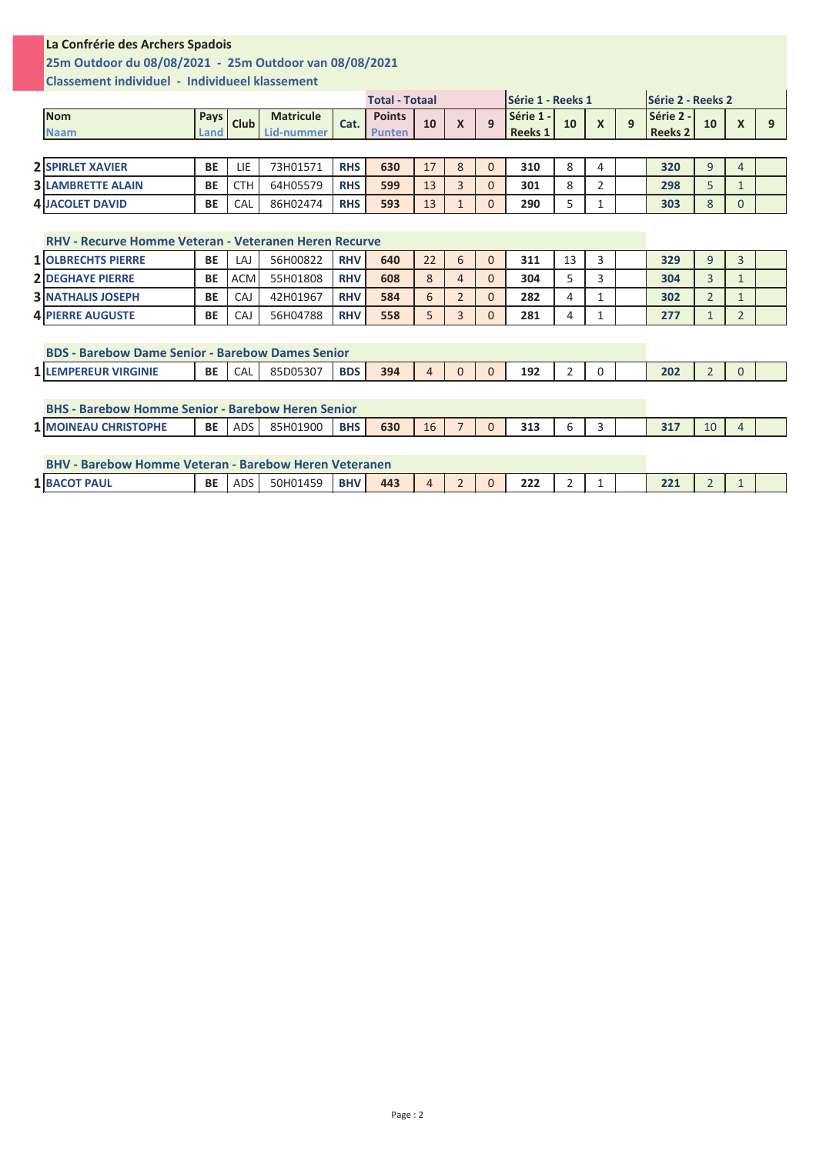## **La Confrérie des Archers Spadois**

## **25m Outdoor du 08/08/2021 - 25m Outdoor van 08/08/2021**

**Classement individuel - Individueel klassement**

|                                                              |                |             |                                |            | <b>Total - Totaal</b>          |    |                |                | <b>Série 1 - Reeks 1</b>    |                |                  |   | <b>Série 2 - Reeks 2</b> |                |                  |   |
|--------------------------------------------------------------|----------------|-------------|--------------------------------|------------|--------------------------------|----|----------------|----------------|-----------------------------|----------------|------------------|---|--------------------------|----------------|------------------|---|
| <b>Nom</b><br><b>Naam</b>                                    | Pays  <br>Land | <b>Club</b> | <b>Matricule</b><br>Lid-nummer | Cat.       | <b>Points</b><br><b>Punten</b> | 10 | $\mathsf{x}$   | 9              | Série 1 -<br><b>Reeks 1</b> | 10             | $\boldsymbol{X}$ | 9 | Série 2 -<br>Reeks 2     | 10             | $\boldsymbol{X}$ | 9 |
|                                                              |                |             |                                |            |                                |    |                |                |                             |                |                  |   |                          |                |                  |   |
| <b>2 SPIRLET XAVIER</b>                                      | BE             | LIE         | 73H01571                       | <b>RHS</b> | 630                            | 17 | 8              | $\mathbf{0}$   | 310                         | 8              | 4                |   | 320                      | 9              | 4                |   |
| <b>3 LAMBRETTE ALAIN</b>                                     | <b>BE</b>      | <b>CTH</b>  | 64H05579                       | <b>RHS</b> | 599                            | 13 | 3              | $\Omega$       | 301                         | 8              | 2                |   | 298                      | 5              | $\mathbf{1}$     |   |
| <b>4 JACOLET DAVID</b>                                       | BE             | CAL         | 86H02474                       | <b>RHS</b> | 593                            | 13 | $\mathbf{1}$   | $\Omega$       | 290                         | 5              | 1                |   | 303                      | 8              | 0                |   |
|                                                              |                |             |                                |            |                                |    |                |                |                             |                |                  |   |                          |                |                  |   |
| RHV - Recurve Homme Veteran - Veteranen Heren Recurve        |                |             |                                |            |                                |    |                |                |                             |                |                  |   |                          |                |                  |   |
| <b>1 OLBRECHTS PIERRE</b>                                    | <b>BE</b>      | LAJ         | 56H00822                       | <b>RHV</b> | 640                            | 22 | 6              | $\mathbf{0}$   | 311                         | 13             | 3                |   | 329                      | 9              | $\overline{3}$   |   |
| <b>2 DEGHAYE PIERRE</b>                                      | <b>BE</b>      | <b>ACM</b>  | 55H01808                       | <b>RHV</b> | 608                            | 8  | 4              | $\Omega$       | 304                         | 5              | 3                |   | 304                      | $\overline{3}$ | $\mathbf{1}$     |   |
| <b>3 INATHALIS JOSEPH</b>                                    | <b>BE</b>      | CAJ         | 42H01967                       | <b>RHV</b> | 584                            | 6  | $\overline{2}$ | $\Omega$       | 282                         | 4              | $\mathbf{1}$     |   | 302                      | $\overline{2}$ | $\mathbf{1}$     |   |
| <b>4 PIERRE AUGUSTE</b>                                      | BE             | CAJ         | 56H04788                       | <b>RHV</b> | 558                            | 5  | 3              | $\Omega$       | 281                         | 4              | 1                |   | 277                      | 1              | $\overline{2}$   |   |
|                                                              |                |             |                                |            |                                |    |                |                |                             |                |                  |   |                          |                |                  |   |
| <b>BDS - Barebow Dame Senior - Barebow Dames Senior</b>      |                |             |                                |            |                                |    |                |                |                             |                |                  |   |                          |                |                  |   |
| <b>1 LEMPEREUR VIRGINIE</b>                                  | <b>BE</b>      | CAL         | 85D05307                       | <b>BDS</b> | 394                            | 4  | $\Omega$       | $\Omega$       | 192                         | $\overline{2}$ | $\Omega$         |   | 202                      | $\overline{2}$ | $\Omega$         |   |
|                                                              |                |             |                                |            |                                |    |                |                |                             |                |                  |   |                          |                |                  |   |
| <b>BHS - Barebow Homme Senior - Barebow Heren Senior</b>     |                |             |                                |            |                                |    |                |                |                             |                |                  |   |                          |                |                  |   |
| <b>1 MOINEAU CHRISTOPHE</b>                                  | BE I           | ADS         | 85H01900                       | <b>BHS</b> | 630                            | 16 | $\overline{7}$ | $\Omega$       | 313                         | 6              | 3                |   | 317                      | 10             | 4                |   |
|                                                              |                |             |                                |            |                                |    |                |                |                             |                |                  |   |                          |                |                  |   |
| <b>BHV - Barebow Homme Veteran - Barebow Heren Veteranen</b> |                |             |                                |            |                                |    |                |                |                             |                |                  |   |                          |                |                  |   |
| <b>1 BACOT PAUL</b>                                          | BE             | ADS         | 50H01459                       | <b>BHV</b> | 443                            | 4  | $\overline{2}$ | $\overline{0}$ | 222                         | 2              | 1                |   | 221                      | $\overline{2}$ | 1                |   |